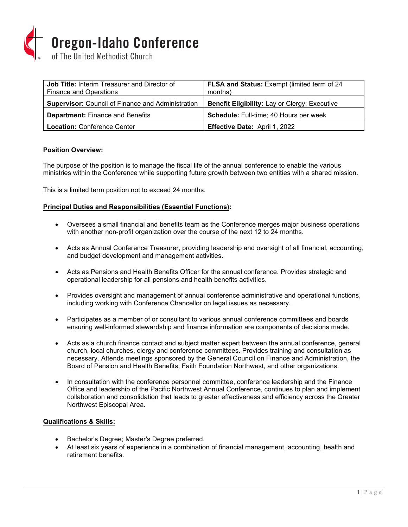

| <b>Job Title: Interim Treasurer and Director of</b><br><b>Finance and Operations</b> | FLSA and Status: Exempt (limited term of 24<br>months) |
|--------------------------------------------------------------------------------------|--------------------------------------------------------|
| <b>Supervisor:</b> Council of Finance and Administration                             | Benefit Eligibility: Lay or Clergy; Executive          |
| <b>Department: Finance and Benefits</b>                                              | Schedule: Full-time; 40 Hours per week                 |
| <b>Location: Conference Center</b>                                                   | Effective Date: April 1, 2022                          |

# **Position Overview:**

The purpose of the position is to manage the fiscal life of the annual conference to enable the various ministries within the Conference while supporting future growth between two entities with a shared mission.

This is a limited term position not to exceed 24 months.

#### **Principal Duties and Responsibilities (Essential Functions):**

- Oversees a small financial and benefits team as the Conference merges major business operations with another non-profit organization over the course of the next 12 to 24 months.
- Acts as Annual Conference Treasurer, providing leadership and oversight of all financial, accounting, and budget development and management activities.
- Acts as Pensions and Health Benefits Officer for the annual conference. Provides strategic and operational leadership for all pensions and health benefits activities.
- Provides oversight and management of annual conference administrative and operational functions, including working with Conference Chancellor on legal issues as necessary.
- Participates as a member of or consultant to various annual conference committees and boards ensuring well-informed stewardship and finance information are components of decisions made.
- Acts as a church finance contact and subject matter expert between the annual conference, general church, local churches, clergy and conference committees. Provides training and consultation as necessary. Attends meetings sponsored by the General Council on Finance and Administration, the Board of Pension and Health Benefits, Faith Foundation Northwest, and other organizations.
- In consultation with the conference personnel committee, conference leadership and the Finance Office and leadership of the Pacific Northwest Annual Conference, continues to plan and implement collaboration and consolidation that leads to greater effectiveness and efficiency across the Greater Northwest Episcopal Area.

#### **Qualifications & Skills:**

- Bachelor's Degree; Master's Degree preferred.
- At least six years of experience in a combination of financial management, accounting, health and retirement benefits.